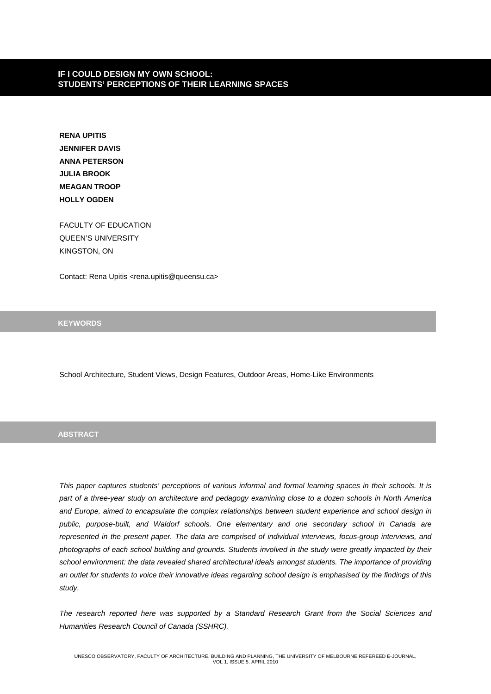# **IF I COULD DESIGN MY OWN SCHOOL: STUDENTS' PERCEPTIONS OF THEIR LEARNING SPACES**

**RENA UPITIS JENNIFER DAVIS ANNA PETERSON JULIA BROOK MEAGAN TROOP HOLLY OGDEN**

FACULTY OF EDUCATION QUEEN'S UNIVERSITY KINGSTON, ON

Contact: Rena Upitis <rena.upitis@queensu.ca>

**KEYWORDS**

School Architecture, Student Views, Design Features, Outdoor Areas, Home-Like Environments

## **ABSTRACT**

*This paper captures students' perceptions of various informal and formal learning spaces in their schools. It is part of a three-year study on architecture and pedagogy examining close to a dozen schools in North America and Europe, aimed to encapsulate the complex relationships between student experience and school design in public, purpose-built, and Waldorf schools. One elementary and one secondary school in Canada are represented in the present paper. The data are comprised of individual interviews, focus-group interviews, and photographs of each school building and grounds. Students involved in the study were greatly impacted by their*  school environment: the data revealed shared architectural ideals amongst students. The importance of providing *an outlet for students to voice their innovative ideas regarding school design is emphasised by the findings of this study.* 

*The research reported here was supported by a Standard Research Grant from the Social Sciences and Humanities Research Council of Canada (SSHRC).*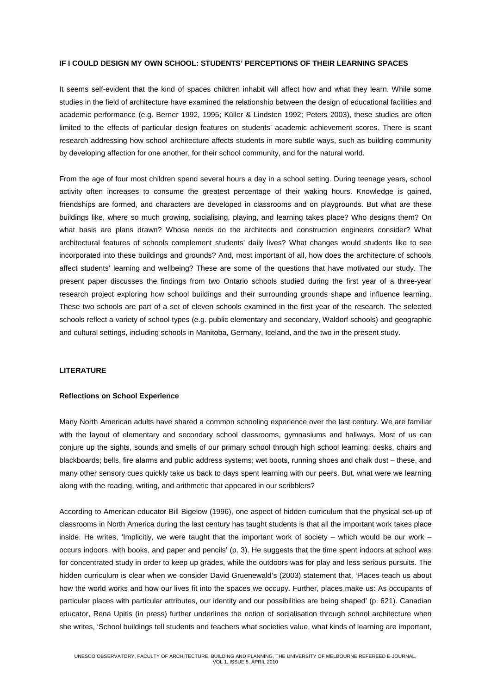### **IF I COULD DESIGN MY OWN SCHOOL: STUDENTS' PERCEPTIONS OF THEIR LEARNING SPACES**

It seems self-evident that the kind of spaces children inhabit will affect how and what they learn. While some studies in the field of architecture have examined the relationship between the design of educational facilities and academic performance (e.g. Berner 1992, 1995; Küller & Lindsten 1992; Peters 2003), these studies are often limited to the effects of particular design features on students' academic achievement scores. There is scant research addressing how school architecture affects students in more subtle ways, such as building community by developing affection for one another, for their school community, and for the natural world.

From the age of four most children spend several hours a day in a school setting. During teenage years, school activity often increases to consume the greatest percentage of their waking hours. Knowledge is gained, friendships are formed, and characters are developed in classrooms and on playgrounds. But what are these buildings like, where so much growing, socialising, playing, and learning takes place? Who designs them? On what basis are plans drawn? Whose needs do the architects and construction engineers consider? What architectural features of schools complement students' daily lives? What changes would students like to see incorporated into these buildings and grounds? And, most important of all, how does the architecture of schools affect students' learning and wellbeing? These are some of the questions that have motivated our study. The present paper discusses the findings from two Ontario schools studied during the first year of a three-year research project exploring how school buildings and their surrounding grounds shape and influence learning. These two schools are part of a set of eleven schools examined in the first year of the research. The selected schools reflect a variety of school types (e.g. public elementary and secondary, Waldorf schools) and geographic and cultural settings, including schools in Manitoba, Germany, Iceland, and the two in the present study.

### **LITERATURE**

### **Reflections on School Experience**

Many North American adults have shared a common schooling experience over the last century. We are familiar with the layout of elementary and secondary school classrooms, gymnasiums and hallways. Most of us can conjure up the sights, sounds and smells of our primary school through high school learning: desks, chairs and blackboards; bells, fire alarms and public address systems; wet boots, running shoes and chalk dust – these, and many other sensory cues quickly take us back to days spent learning with our peers. But, what were we learning along with the reading, writing, and arithmetic that appeared in our scribblers?

According to American educator Bill Bigelow (1996), one aspect of hidden curriculum that the physical set-up of classrooms in North America during the last century has taught students is that all the important work takes place inside. He writes, 'Implicitly, we were taught that the important work of society – which would be our work – occurs indoors, with books, and paper and pencils' (p. 3). He suggests that the time spent indoors at school was for concentrated study in order to keep up grades, while the outdoors was for play and less serious pursuits. The hidden curriculum is clear when we consider David Gruenewald's (2003) statement that, 'Places teach us about how the world works and how our lives fit into the spaces we occupy. Further, places make us: As occupants of particular places with particular attributes, our identity and our possibilities are being shaped' (p. 621). Canadian educator, Rena Upitis (in press) further underlines the notion of socialisation through school architecture when she writes, 'School buildings tell students and teachers what societies value, what kinds of learning are important,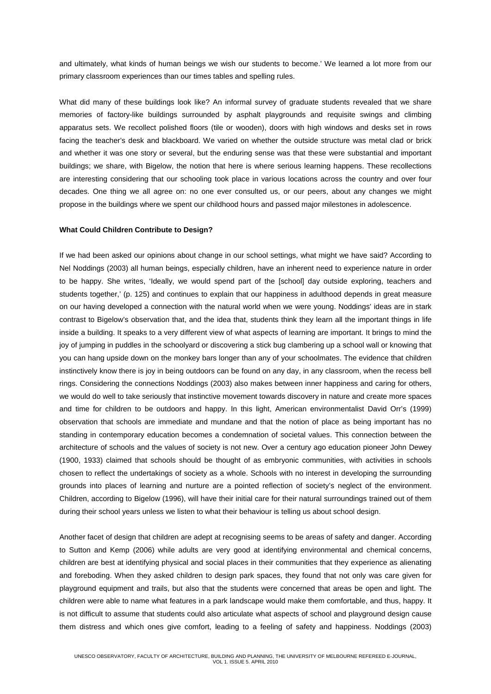and ultimately, what kinds of human beings we wish our students to become.' We learned a lot more from our primary classroom experiences than our times tables and spelling rules.

What did many of these buildings look like? An informal survey of graduate students revealed that we share memories of factory-like buildings surrounded by asphalt playgrounds and requisite swings and climbing apparatus sets. We recollect polished floors (tile or wooden), doors with high windows and desks set in rows facing the teacher's desk and blackboard. We varied on whether the outside structure was metal clad or brick and whether it was one story or several, but the enduring sense was that these were substantial and important buildings; we share, with Bigelow, the notion that here is where serious learning happens. These recollections are interesting considering that our schooling took place in various locations across the country and over four decades. One thing we all agree on: no one ever consulted us, or our peers, about any changes we might propose in the buildings where we spent our childhood hours and passed major milestones in adolescence.

### **What Could Children Contribute to Design?**

If we had been asked our opinions about change in our school settings, what might we have said? According to Nel Noddings (2003) all human beings, especially children, have an inherent need to experience nature in order to be happy. She writes, 'Ideally, we would spend part of the [school] day outside exploring, teachers and students together,' (p. 125) and continues to explain that our happiness in adulthood depends in great measure on our having developed a connection with the natural world when we were young. Noddings' ideas are in stark contrast to Bigelow's observation that, and the idea that, students think they learn all the important things in life inside a building. It speaks to a very different view of what aspects of learning are important. It brings to mind the joy of jumping in puddles in the schoolyard or discovering a stick bug clambering up a school wall or knowing that you can hang upside down on the monkey bars longer than any of your schoolmates. The evidence that children instinctively know there is joy in being outdoors can be found on any day, in any classroom, when the recess bell rings. Considering the connections Noddings (2003) also makes between inner happiness and caring for others, we would do well to take seriously that instinctive movement towards discovery in nature and create more spaces and time for children to be outdoors and happy. In this light, American environmentalist David Orr's (1999) observation that schools are immediate and mundane and that the notion of place as being important has no standing in contemporary education becomes a condemnation of societal values. This connection between the architecture of schools and the values of society is not new. Over a century ago education pioneer John Dewey (1900, 1933) claimed that schools should be thought of as embryonic communities, with activities in schools chosen to reflect the undertakings of society as a whole. Schools with no interest in developing the surrounding grounds into places of learning and nurture are a pointed reflection of society's neglect of the environment. Children, according to Bigelow (1996), will have their initial care for their natural surroundings trained out of them during their school years unless we listen to what their behaviour is telling us about school design.

Another facet of design that children are adept at recognising seems to be areas of safety and danger. According to Sutton and Kemp (2006) while adults are very good at identifying environmental and chemical concerns, children are best at identifying physical and social places in their communities that they experience as alienating and foreboding. When they asked children to design park spaces, they found that not only was care given for playground equipment and trails, but also that the students were concerned that areas be open and light. The children were able to name what features in a park landscape would make them comfortable, and thus, happy. It is not difficult to assume that students could also articulate what aspects of school and playground design cause them distress and which ones give comfort, leading to a feeling of safety and happiness. Noddings (2003)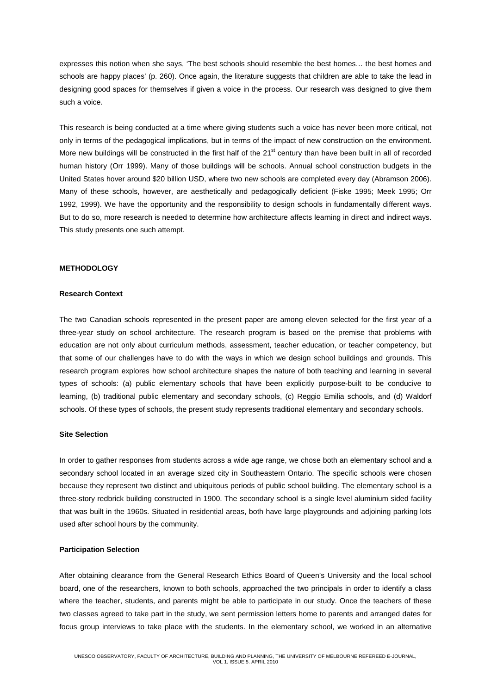expresses this notion when she says, 'The best schools should resemble the best homes… the best homes and schools are happy places' (p. 260). Once again, the literature suggests that children are able to take the lead in designing good spaces for themselves if given a voice in the process. Our research was designed to give them such a voice.

This research is being conducted at a time where giving students such a voice has never been more critical, not only in terms of the pedagogical implications, but in terms of the impact of new construction on the environment. More new buildings will be constructed in the first half of the  $21<sup>st</sup>$  century than have been built in all of recorded human history (Orr 1999). Many of those buildings will be schools. Annual school construction budgets in the United States hover around \$20 billion USD, where two new schools are completed every day (Abramson 2006). Many of these schools, however, are aesthetically and pedagogically deficient (Fiske 1995; Meek 1995; Orr 1992, 1999). We have the opportunity and the responsibility to design schools in fundamentally different ways. But to do so, more research is needed to determine how architecture affects learning in direct and indirect ways. This study presents one such attempt.

### **METHODOLOGY**

### **Research Context**

The two Canadian schools represented in the present paper are among eleven selected for the first year of a three-year study on school architecture. The research program is based on the premise that problems with education are not only about curriculum methods, assessment, teacher education, or teacher competency, but that some of our challenges have to do with the ways in which we design school buildings and grounds. This research program explores how school architecture shapes the nature of both teaching and learning in several types of schools: (a) public elementary schools that have been explicitly purpose-built to be conducive to learning, (b) traditional public elementary and secondary schools, (c) Reggio Emilia schools, and (d) Waldorf schools. Of these types of schools, the present study represents traditional elementary and secondary schools.

### **Site Selection**

In order to gather responses from students across a wide age range, we chose both an elementary school and a secondary school located in an average sized city in Southeastern Ontario. The specific schools were chosen because they represent two distinct and ubiquitous periods of public school building. The elementary school is a three-story redbrick building constructed in 1900. The secondary school is a single level aluminium sided facility that was built in the 1960s. Situated in residential areas, both have large playgrounds and adjoining parking lots used after school hours by the community.

## **Participation Selection**

After obtaining clearance from the General Research Ethics Board of Queen's University and the local school board, one of the researchers, known to both schools, approached the two principals in order to identify a class where the teacher, students, and parents might be able to participate in our study. Once the teachers of these two classes agreed to take part in the study, we sent permission letters home to parents and arranged dates for focus group interviews to take place with the students. In the elementary school, we worked in an alternative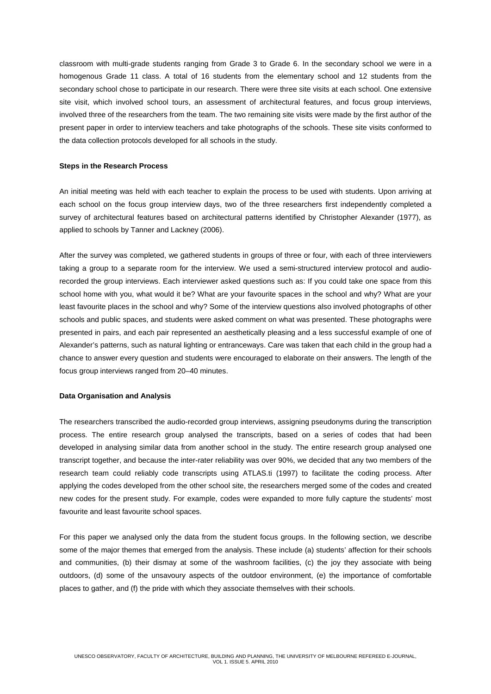classroom with multi-grade students ranging from Grade 3 to Grade 6. In the secondary school we were in a homogenous Grade 11 class. A total of 16 students from the elementary school and 12 students from the secondary school chose to participate in our research. There were three site visits at each school. One extensive site visit, which involved school tours, an assessment of architectural features, and focus group interviews, involved three of the researchers from the team. The two remaining site visits were made by the first author of the present paper in order to interview teachers and take photographs of the schools. These site visits conformed to the data collection protocols developed for all schools in the study.

### **Steps in the Research Process**

An initial meeting was held with each teacher to explain the process to be used with students. Upon arriving at each school on the focus group interview days, two of the three researchers first independently completed a survey of architectural features based on architectural patterns identified by Christopher Alexander (1977), as applied to schools by Tanner and Lackney (2006).

After the survey was completed, we gathered students in groups of three or four, with each of three interviewers taking a group to a separate room for the interview. We used a semi-structured interview protocol and audiorecorded the group interviews. Each interviewer asked questions such as: If you could take one space from this school home with you, what would it be? What are your favourite spaces in the school and why? What are your least favourite places in the school and why? Some of the interview questions also involved photographs of other schools and public spaces, and students were asked comment on what was presented. These photographs were presented in pairs, and each pair represented an aesthetically pleasing and a less successful example of one of Alexander's patterns, such as natural lighting or entranceways. Care was taken that each child in the group had a chance to answer every question and students were encouraged to elaborate on their answers. The length of the focus group interviews ranged from 20–40 minutes.

### **Data Organisation and Analysis**

The researchers transcribed the audio-recorded group interviews, assigning pseudonyms during the transcription process. The entire research group analysed the transcripts, based on a series of codes that had been developed in analysing similar data from another school in the study. The entire research group analysed one transcript together, and because the inter-rater reliability was over 90%, we decided that any two members of the research team could reliably code transcripts using ATLAS.ti (1997) to facilitate the coding process. After applying the codes developed from the other school site, the researchers merged some of the codes and created new codes for the present study. For example, codes were expanded to more fully capture the students' most favourite and least favourite school spaces.

For this paper we analysed only the data from the student focus groups. In the following section, we describe some of the major themes that emerged from the analysis. These include (a) students' affection for their schools and communities, (b) their dismay at some of the washroom facilities, (c) the joy they associate with being outdoors, (d) some of the unsavoury aspects of the outdoor environment, (e) the importance of comfortable places to gather, and (f) the pride with which they associate themselves with their schools.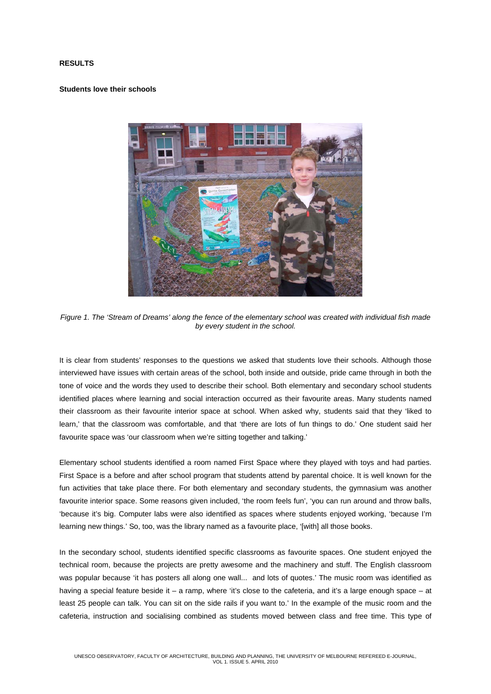### **RESULTS**

### **Students love their schools**



*Figure 1. The 'Stream of Dreams' along the fence of the elementary school was created with individual fish made by every student in the school.*

It is clear from students' responses to the questions we asked that students love their schools. Although those interviewed have issues with certain areas of the school, both inside and outside, pride came through in both the tone of voice and the words they used to describe their school. Both elementary and secondary school students identified places where learning and social interaction occurred as their favourite areas. Many students named their classroom as their favourite interior space at school. When asked why, students said that they 'liked to learn,' that the classroom was comfortable, and that 'there are lots of fun things to do.' One student said her favourite space was 'our classroom when we're sitting together and talking.'

Elementary school students identified a room named First Space where they played with toys and had parties. First Space is a before and after school program that students attend by parental choice. It is well known for the fun activities that take place there. For both elementary and secondary students, the gymnasium was another favourite interior space. Some reasons given included, 'the room feels fun', 'you can run around and throw balls, 'because it's big. Computer labs were also identified as spaces where students enjoyed working, 'because I'm learning new things.' So, too, was the library named as a favourite place, '[with] all those books.

In the secondary school, students identified specific classrooms as favourite spaces. One student enjoyed the technical room, because the projects are pretty awesome and the machinery and stuff. The English classroom was popular because 'it has posters all along one wall... and lots of quotes.' The music room was identified as having a special feature beside it – a ramp, where 'it's close to the cafeteria, and it's a large enough space – at least 25 people can talk. You can sit on the side rails if you want to.' In the example of the music room and the cafeteria, instruction and socialising combined as students moved between class and free time. This type of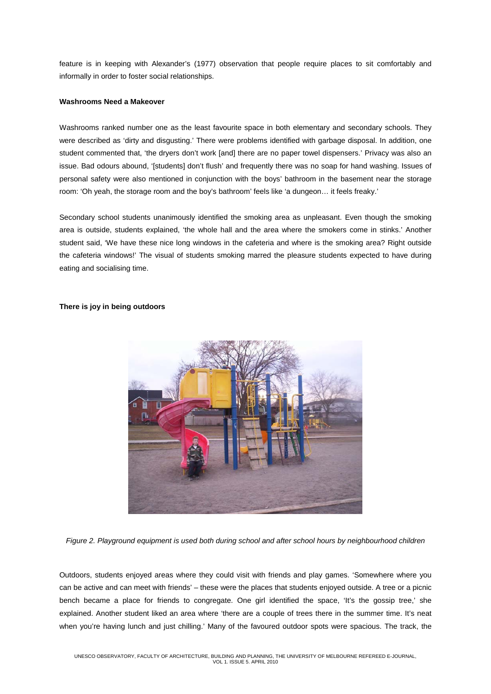feature is in keeping with Alexander's (1977) observation that people require places to sit comfortably and informally in order to foster social relationships.

#### **Washrooms Need a Makeover**

Washrooms ranked number one as the least favourite space in both elementary and secondary schools. They were described as 'dirty and disgusting.' There were problems identified with garbage disposal. In addition, one student commented that, 'the dryers don't work [and] there are no paper towel dispensers.' Privacy was also an issue. Bad odours abound, '[students] don't flush' and frequently there was no soap for hand washing. Issues of personal safety were also mentioned in conjunction with the boys' bathroom in the basement near the storage room: 'Oh yeah, the storage room and the boy's bathroom' feels like 'a dungeon… it feels freaky.'

Secondary school students unanimously identified the smoking area as unpleasant. Even though the smoking area is outside, students explained, 'the whole hall and the area where the smokers come in stinks.' Another student said, 'We have these nice long windows in the cafeteria and where is the smoking area? Right outside the cafeteria windows!' The visual of students smoking marred the pleasure students expected to have during eating and socialising time.

### **There is joy in being outdoors**



*Figure 2. Playground equipment is used both during school and after school hours by neighbourhood children*

Outdoors, students enjoyed areas where they could visit with friends and play games. 'Somewhere where you can be active and can meet with friends' – these were the places that students enjoyed outside. A tree or a picnic bench became a place for friends to congregate. One girl identified the space, 'It's the gossip tree,' she explained. Another student liked an area where 'there are a couple of trees there in the summer time. It's neat when you're having lunch and just chilling.' Many of the favoured outdoor spots were spacious. The track, the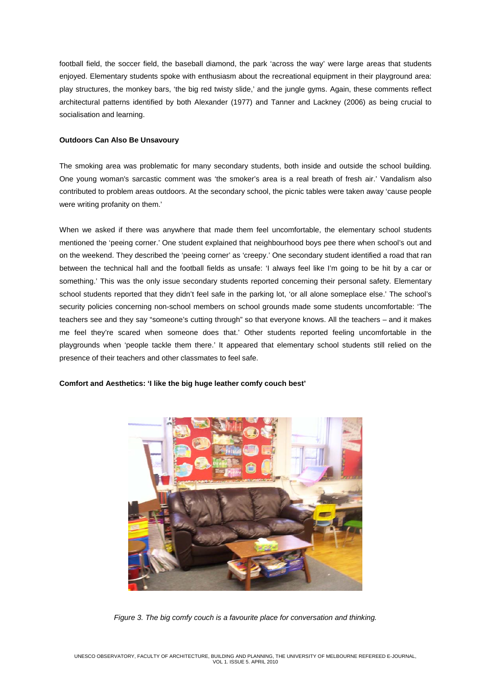football field, the soccer field, the baseball diamond, the park 'across the way' were large areas that students enjoyed. Elementary students spoke with enthusiasm about the recreational equipment in their playground area: play structures, the monkey bars, 'the big red twisty slide,' and the jungle gyms. Again, these comments reflect architectural patterns identified by both Alexander (1977) and Tanner and Lackney (2006) as being crucial to socialisation and learning.

### **Outdoors Can Also Be Unsavoury**

The smoking area was problematic for many secondary students, both inside and outside the school building. One young woman's sarcastic comment was 'the smoker's area is a real breath of fresh air.' Vandalism also contributed to problem areas outdoors. At the secondary school, the picnic tables were taken away 'cause people were writing profanity on them.'

When we asked if there was anywhere that made them feel uncomfortable, the elementary school students mentioned the 'peeing corner.' One student explained that neighbourhood boys pee there when school's out and on the weekend. They described the 'peeing corner' as 'creepy.' One secondary student identified a road that ran between the technical hall and the football fields as unsafe: 'I always feel like I'm going to be hit by a car or something.' This was the only issue secondary students reported concerning their personal safety. Elementary school students reported that they didn't feel safe in the parking lot, 'or all alone someplace else.' The school's security policies concerning non-school members on school grounds made some students uncomfortable: 'The teachers see and they say "someone's cutting through" so that everyone knows. All the teachers – and it makes me feel they're scared when someone does that.' Other students reported feeling uncomfortable in the playgrounds when 'people tackle them there.' It appeared that elementary school students still relied on the presence of their teachers and other classmates to feel safe.

#### **Comfort and Aesthetics: 'I like the big huge leather comfy couch best'**



*Figure 3. The big comfy couch is a favourite place for conversation and thinking.*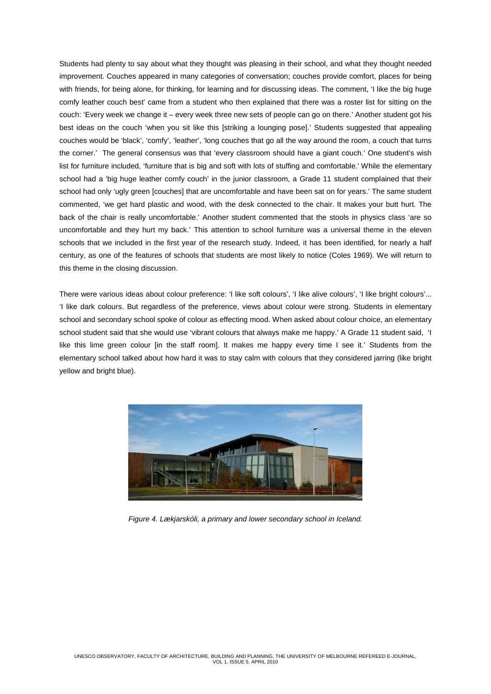Students had plenty to say about what they thought was pleasing in their school, and what they thought needed improvement. Couches appeared in many categories of conversation; couches provide comfort, places for being with friends, for being alone, for thinking, for learning and for discussing ideas. The comment, 'I like the big huge comfy leather couch best' came from a student who then explained that there was a roster list for sitting on the couch: 'Every week we change it – every week three new sets of people can go on there.' Another student got his best ideas on the couch 'when you sit like this [striking a lounging pose].' Students suggested that appealing couches would be 'black', 'comfy', 'leather', 'long couches that go all the way around the room, a couch that turns the corner.' The general consensus was that 'every classroom should have a giant couch.' One student's wish list for furniture included, 'furniture that is big and soft with lots of stuffing and comfortable.' While the elementary school had a 'big huge leather comfy couch' in the junior classroom, a Grade 11 student complained that their school had only 'ugly green [couches] that are uncomfortable and have been sat on for years.' The same student commented, 'we get hard plastic and wood, with the desk connected to the chair. It makes your butt hurt. The back of the chair is really uncomfortable.' Another student commented that the stools in physics class 'are so uncomfortable and they hurt my back.' This attention to school furniture was a universal theme in the eleven schools that we included in the first year of the research study. Indeed, it has been identified, for nearly a half century, as one of the features of schools that students are most likely to notice (Coles 1969). We will return to this theme in the closing discussion.

There were various ideas about colour preference: 'I like soft colours', 'I like alive colours', 'I like bright colours'... 'I like dark colours. But regardless of the preference, views about colour were strong. Students in elementary school and secondary school spoke of colour as effecting mood. When asked about colour choice, an elementary school student said that she would use 'vibrant colours that always make me happy.' A Grade 11 student said, 'I like this lime green colour [in the staff room]. It makes me happy every time I see it.' Students from the elementary school talked about how hard it was to stay calm with colours that they considered jarring (like bright yellow and bright blue).



*Figure 4. Lækjarskóli, a primary and lower secondary school in Iceland.*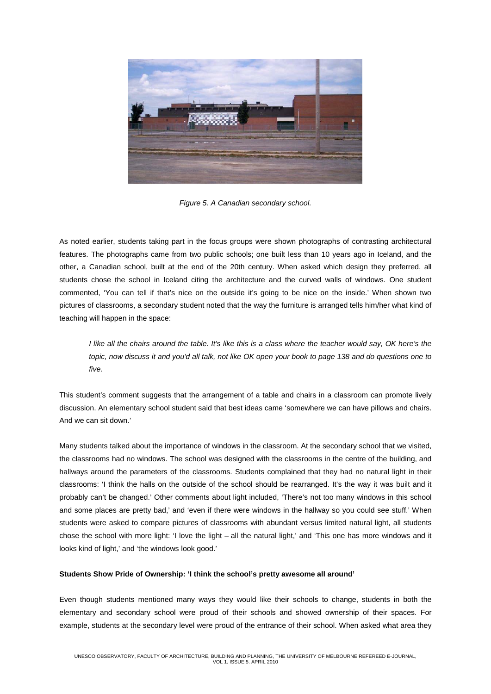

*Figure 5. A Canadian secondary school.*

As noted earlier, students taking part in the focus groups were shown photographs of contrasting architectural features. The photographs came from two public schools; one built less than 10 years ago in Iceland, and the other, a Canadian school, built at the end of the 20th century. When asked which design they preferred, all students chose the school in Iceland citing the architecture and the curved walls of windows. One student commented, 'You can tell if that's nice on the outside it's going to be nice on the inside.' When shown two pictures of classrooms, a secondary student noted that the way the furniture is arranged tells him/her what kind of teaching will happen in the space:

*I like all the chairs around the table. It's like this is a class where the teacher would say, OK here's the topic, now discuss it and you'd all talk, not like OK open your book to page 138 and do questions one to five.*

This student's comment suggests that the arrangement of a table and chairs in a classroom can promote lively discussion. An elementary school student said that best ideas came 'somewhere we can have pillows and chairs. And we can sit down.'

Many students talked about the importance of windows in the classroom. At the secondary school that we visited, the classrooms had no windows. The school was designed with the classrooms in the centre of the building, and hallways around the parameters of the classrooms. Students complained that they had no natural light in their classrooms: 'I think the halls on the outside of the school should be rearranged. It's the way it was built and it probably can't be changed.' Other comments about light included, 'There's not too many windows in this school and some places are pretty bad,' and 'even if there were windows in the hallway so you could see stuff.' When students were asked to compare pictures of classrooms with abundant versus limited natural light, all students chose the school with more light: 'I love the light – all the natural light,' and 'This one has more windows and it looks kind of light,' and 'the windows look good.'

## **Students Show Pride of Ownership: 'I think the school's pretty awesome all around'**

Even though students mentioned many ways they would like their schools to change, students in both the elementary and secondary school were proud of their schools and showed ownership of their spaces. For example, students at the secondary level were proud of the entrance of their school. When asked what area they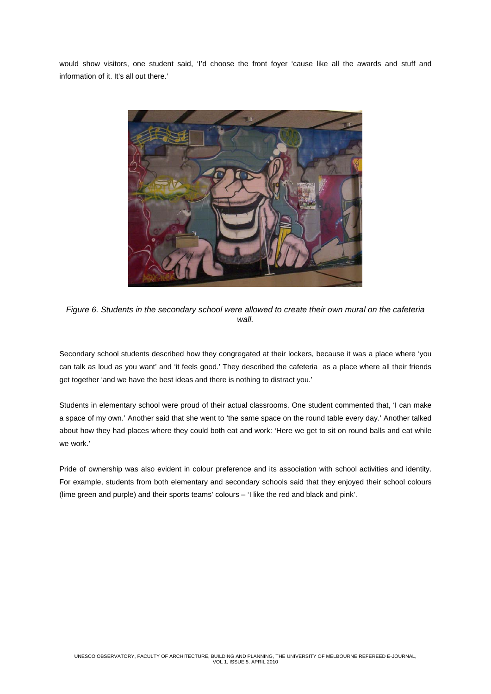would show visitors, one student said, 'I'd choose the front foyer 'cause like all the awards and stuff and information of it. It's all out there.'



*Figure 6. Students in the secondary school were allowed to create their own mural on the cafeteria wall.*

Secondary school students described how they congregated at their lockers, because it was a place where 'you can talk as loud as you want' and 'it feels good.' They described the cafeteria as a place where all their friends get together 'and we have the best ideas and there is nothing to distract you.'

Students in elementary school were proud of their actual classrooms. One student commented that, 'I can make a space of my own.' Another said that she went to 'the same space on the round table every day.' Another talked about how they had places where they could both eat and work: 'Here we get to sit on round balls and eat while we work.'

Pride of ownership was also evident in colour preference and its association with school activities and identity. For example, students from both elementary and secondary schools said that they enjoyed their school colours (lime green and purple) and their sports teams' colours – 'I like the red and black and pink'.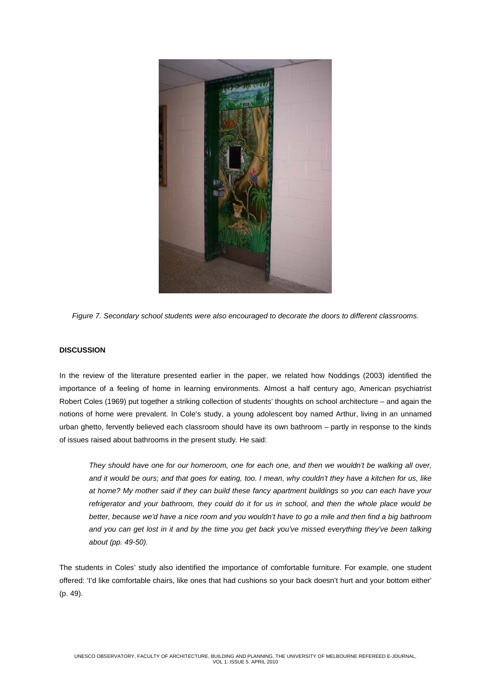

*Figure 7. Secondary school students were also encouraged to decorate the doors to different classrooms.*

# **DISCUSSION**

In the review of the literature presented earlier in the paper, we related how Noddings (2003) identified the importance of a feeling of home in learning environments. Almost a half century ago, American psychiatrist Robert Coles (1969) put together a striking collection of students' thoughts on school architecture – and again the notions of home were prevalent. In Cole's study, a young adolescent boy named Arthur, living in an unnamed urban ghetto, fervently believed each classroom should have its own bathroom – partly in response to the kinds of issues raised about bathrooms in the present study. He said:

*They should have one for our homeroom, one for each one, and then we wouldn't be walking all over, and it would be ours; and that goes for eating, too. I mean, why couldn't they have a kitchen for us, like at home? My mother said if they can build these fancy apartment buildings so you can each have your refrigerator and your bathroom, they could do it for us in school, and then the whole place would be better, because we'd have a nice room and you wouldn't have to go a mile and then find a big bathroom and you can get lost in it and by the time you get back you've missed everything they've been talking about (pp. 49-50).* 

The students in Coles' study also identified the importance of comfortable furniture. For example, one student offered: 'I'd like comfortable chairs, like ones that had cushions so your back doesn't hurt and your bottom either' (p. 49).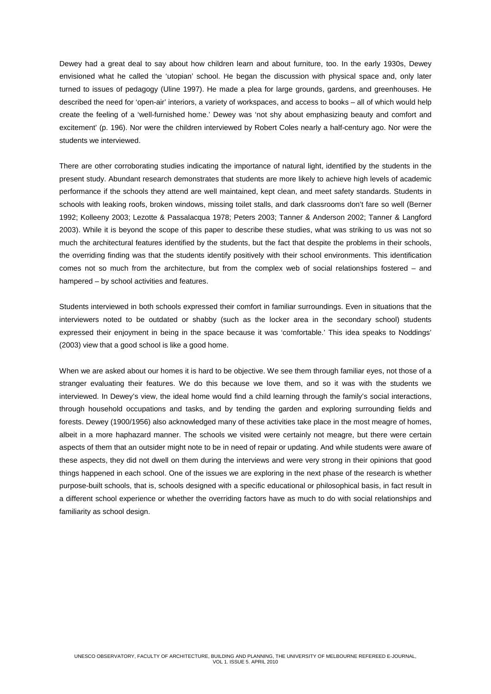Dewey had a great deal to say about how children learn and about furniture, too. In the early 1930s, Dewey envisioned what he called the 'utopian' school. He began the discussion with physical space and, only later turned to issues of pedagogy (Uline 1997). He made a plea for large grounds, gardens, and greenhouses. He described the need for 'open-air' interiors, a variety of workspaces, and access to books – all of which would help create the feeling of a 'well-furnished home.' Dewey was 'not shy about emphasizing beauty and comfort and excitement' (p. 196). Nor were the children interviewed by Robert Coles nearly a half-century ago. Nor were the students we interviewed.

There are other corroborating studies indicating the importance of natural light, identified by the students in the present study. Abundant research demonstrates that students are more likely to achieve high levels of academic performance if the schools they attend are well maintained, kept clean, and meet safety standards. Students in schools with leaking roofs, broken windows, missing toilet stalls, and dark classrooms don't fare so well (Berner 1992; Kolleeny 2003; Lezotte & Passalacqua 1978; Peters 2003; Tanner & Anderson 2002; Tanner & Langford 2003). While it is beyond the scope of this paper to describe these studies, what was striking to us was not so much the architectural features identified by the students, but the fact that despite the problems in their schools, the overriding finding was that the students identify positively with their school environments. This identification comes not so much from the architecture, but from the complex web of social relationships fostered – and hampered – by school activities and features.

Students interviewed in both schools expressed their comfort in familiar surroundings. Even in situations that the interviewers noted to be outdated or shabby (such as the locker area in the secondary school) students expressed their enjoyment in being in the space because it was 'comfortable.' This idea speaks to Noddings' (2003) view that a good school is like a good home.

When we are asked about our homes it is hard to be objective. We see them through familiar eyes, not those of a stranger evaluating their features. We do this because we love them, and so it was with the students we interviewed. In Dewey's view, the ideal home would find a child learning through the family's social interactions, through household occupations and tasks, and by tending the garden and exploring surrounding fields and forests. Dewey (1900/1956) also acknowledged many of these activities take place in the most meagre of homes, albeit in a more haphazard manner. The schools we visited were certainly not meagre, but there were certain aspects of them that an outsider might note to be in need of repair or updating. And while students were aware of these aspects, they did not dwell on them during the interviews and were very strong in their opinions that good things happened in each school. One of the issues we are exploring in the next phase of the research is whether purpose-built schools, that is, schools designed with a specific educational or philosophical basis, in fact result in a different school experience or whether the overriding factors have as much to do with social relationships and familiarity as school design.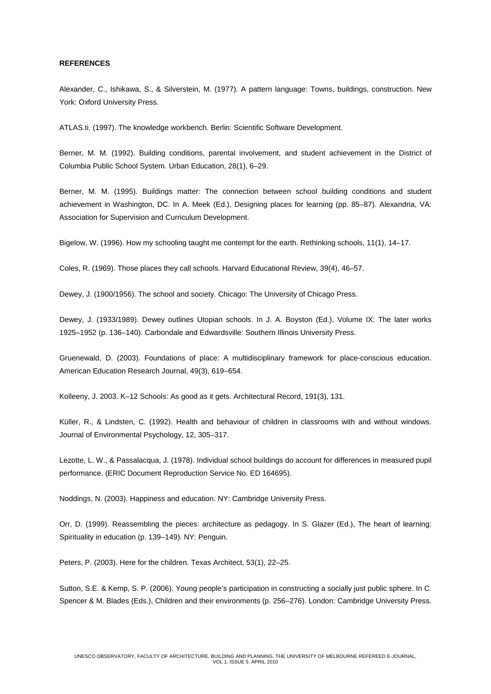### **REFERENCES**

Alexander, C., Ishikawa, S., & Silverstein, M. (1977). A pattern language: Towns, buildings, construction. New York: Oxford University Press.

ATLAS.ti. (1997). The knowledge workbench. Berlin: Scientific Software Development.

Berner, M. M. (1992). Building conditions, parental involvement, and student achievement in the District of Columbia Public School System. Urban Education, 28(1), 6–29.

Berner, M. M. (1995). Buildings matter: The connection between school building conditions and student achievement in Washington, DC. In A. Meek (Ed.), Designing places for learning (pp. 85–87). Alexandria, VA: Association for Supervision and Curriculum Development.

Bigelow, W. (1996). How my schooling taught me contempt for the earth. Rethinking schools, 11(1), 14–17.

Coles, R. (1969). Those places they call schools. Harvard Educational Review, 39(4), 46–57.

Dewey, J. (1900/1956). The school and society. Chicago: The University of Chicago Press.

Dewey, J. (1933/1989). Dewey outlines Utopian schools. In J. A. Boyston (Ed.), Volume IX: The later works 1925–1952 (p. 136–140). Carbondale and Edwardsville: Southern Illinois University Press.

Gruenewald, D. (2003). Foundations of place: A multidisciplinary framework for place-conscious education. American Education Research Journal, 49(3), 619–654.

Kolleeny, J. 2003. K–12 Schools: As good as it gets. Architectural Record, 191(3), 131.

Küller, R., & Lindsten, C. (1992). Health and behaviour of children in classrooms with and without windows. Journal of Environmental Psychology, 12, 305–317.

Lezotte, L. W., & Passalacqua, J. (1978). Individual school buildings do account for differences in measured pupil performance. (ERIC Document Reproduction Service No. ED 164695).

Noddings, N. (2003). Happiness and education. NY: Cambridge University Press.

Orr, D. (1999). Reassembling the pieces: architecture as pedagogy. In S. Glazer (Ed.), The heart of learning: Spirituality in education (p. 139–149). NY: Penguin.

Peters, P. (2003). Here for the children. Texas Architect, 53(1), 22–25.

Sutton, S.E. & Kemp, S. P. (2006). Young people's participation in constructing a socially just public sphere. In C. Spencer & M. Blades (Eds.), Children and their environments (p. 256–276). London: Cambridge University Press.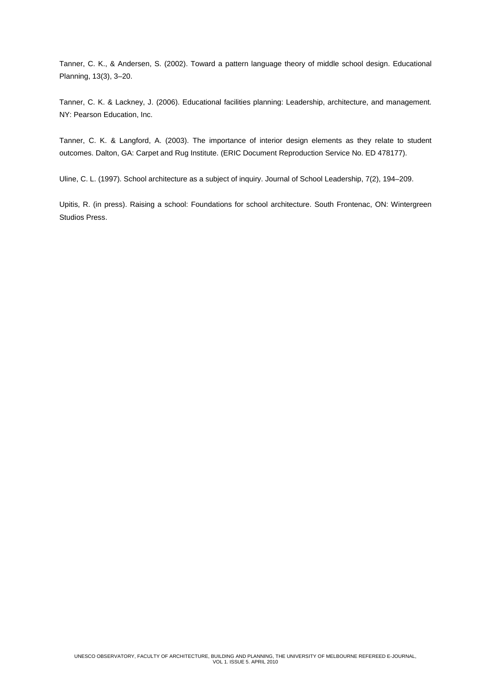Tanner, C. K., & Andersen, S. (2002). Toward a pattern language theory of middle school design. Educational Planning, 13(3), 3–20.

Tanner, C. K. & Lackney, J. (2006). Educational facilities planning: Leadership, architecture, and management. NY: Pearson Education, Inc.

Tanner, C. K. & Langford, A. (2003). The importance of interior design elements as they relate to student outcomes. Dalton, GA: Carpet and Rug Institute. (ERIC Document Reproduction Service No. ED 478177).

Uline, C. L. (1997). School architecture as a subject of inquiry. Journal of School Leadership, 7(2), 194–209.

Upitis, R. (in press). Raising a school: Foundations for school architecture. South Frontenac, ON: Wintergreen Studios Press.